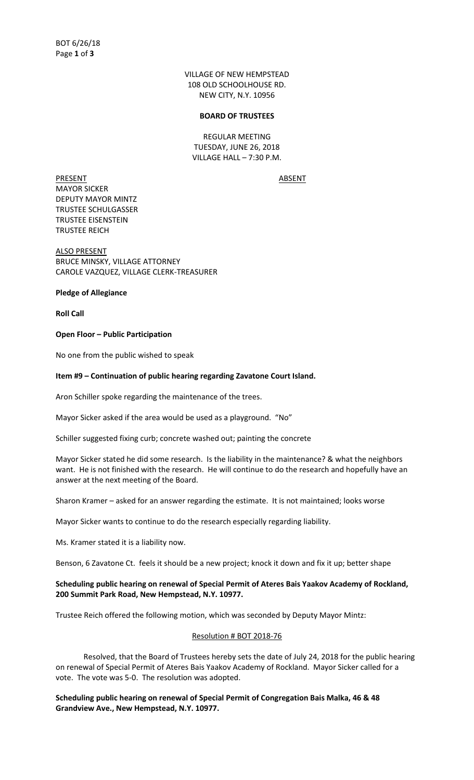VILLAGE OF NEW HEMPSTEAD 108 OLD SCHOOLHOUSE RD. NEW CITY, N.Y. 10956

#### **BOARD OF TRUSTEES**

REGULAR MEETING TUESDAY, JUNE 26, 2018 VILLAGE HALL – 7:30 P.M.

PRESENT ABSENT MAYOR SICKER DEPUTY MAYOR MINTZ TRUSTEE SCHULGASSER TRUSTEE EISENSTEIN TRUSTEE REICH

ALSO PRESENT BRUCE MINSKY, VILLAGE ATTORNEY CAROLE VAZQUEZ, VILLAGE CLERK-TREASURER

**Pledge of Allegiance**

**Roll Call**

## **Open Floor – Public Participation**

No one from the public wished to speak

## **Item #9 – Continuation of public hearing regarding Zavatone Court Island.**

Aron Schiller spoke regarding the maintenance of the trees.

Mayor Sicker asked if the area would be used as a playground. "No"

Schiller suggested fixing curb; concrete washed out; painting the concrete

Mayor Sicker stated he did some research. Is the liability in the maintenance? & what the neighbors want. He is not finished with the research. He will continue to do the research and hopefully have an answer at the next meeting of the Board.

Sharon Kramer – asked for an answer regarding the estimate. It is not maintained; looks worse

Mayor Sicker wants to continue to do the research especially regarding liability.

Ms. Kramer stated it is a liability now.

Benson, 6 Zavatone Ct. feels it should be a new project; knock it down and fix it up; better shape

# **Scheduling public hearing on renewal of Special Permit of Ateres Bais Yaakov Academy of Rockland, 200 Summit Park Road, New Hempstead, N.Y. 10977.**

Trustee Reich offered the following motion, which was seconded by Deputy Mayor Mintz:

# Resolution # BOT 2018-76

Resolved, that the Board of Trustees hereby sets the date of July 24, 2018 for the public hearing on renewal of Special Permit of Ateres Bais Yaakov Academy of Rockland. Mayor Sicker called for a vote. The vote was 5-0. The resolution was adopted.

**Scheduling public hearing on renewal of Special Permit of Congregation Bais Malka, 46 & 48 Grandview Ave., New Hempstead, N.Y. 10977.**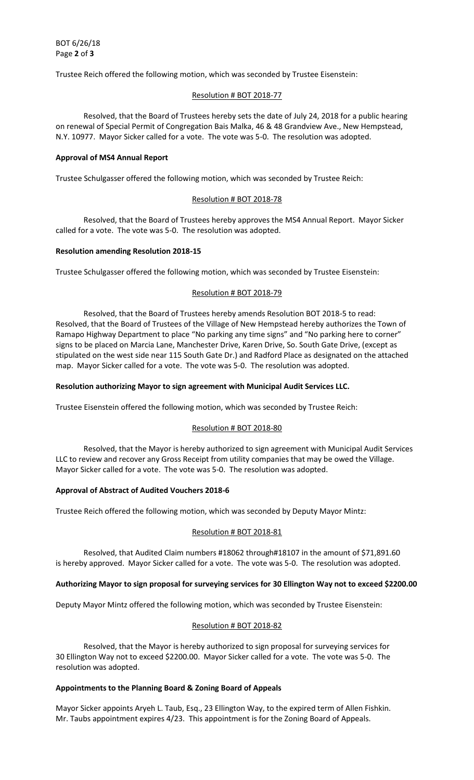Trustee Reich offered the following motion, which was seconded by Trustee Eisenstein:

## Resolution # BOT 2018-77

Resolved, that the Board of Trustees hereby sets the date of July 24, 2018 for a public hearing on renewal of Special Permit of Congregation Bais Malka, 46 & 48 Grandview Ave., New Hempstead, N.Y. 10977. Mayor Sicker called for a vote. The vote was 5-0. The resolution was adopted.

### **Approval of MS4 Annual Report**

Trustee Schulgasser offered the following motion, which was seconded by Trustee Reich:

## Resolution # BOT 2018-78

Resolved, that the Board of Trustees hereby approves the MS4 Annual Report. Mayor Sicker called for a vote. The vote was 5-0. The resolution was adopted.

#### **Resolution amending Resolution 2018-15**

Trustee Schulgasser offered the following motion, which was seconded by Trustee Eisenstein:

## Resolution # BOT 2018-79

Resolved, that the Board of Trustees hereby amends Resolution BOT 2018-5 to read: Resolved, that the Board of Trustees of the Village of New Hempstead hereby authorizes the Town of Ramapo Highway Department to place "No parking any time signs" and "No parking here to corner" signs to be placed on Marcia Lane, Manchester Drive, Karen Drive, So. South Gate Drive, (except as stipulated on the west side near 115 South Gate Dr.) and Radford Place as designated on the attached map. Mayor Sicker called for a vote. The vote was 5-0. The resolution was adopted.

## **Resolution authorizing Mayor to sign agreement with Municipal Audit Services LLC.**

Trustee Eisenstein offered the following motion, which was seconded by Trustee Reich:

# Resolution # BOT 2018-80

Resolved, that the Mayor is hereby authorized to sign agreement with Municipal Audit Services LLC to review and recover any Gross Receipt from utility companies that may be owed the Village. Mayor Sicker called for a vote. The vote was 5-0. The resolution was adopted.

#### **Approval of Abstract of Audited Vouchers 2018-6**

Trustee Reich offered the following motion, which was seconded by Deputy Mayor Mintz:

#### Resolution # BOT 2018-81

Resolved, that Audited Claim numbers #18062 through#18107 in the amount of \$71,891.60 is hereby approved. Mayor Sicker called for a vote. The vote was 5-0. The resolution was adopted.

### **Authorizing Mayor to sign proposal for surveying services for 30 Ellington Way not to exceed \$2200.00**

Deputy Mayor Mintz offered the following motion, which was seconded by Trustee Eisenstein:

### Resolution # BOT 2018-82

Resolved, that the Mayor is hereby authorized to sign proposal for surveying services for 30 Ellington Way not to exceed \$2200.00. Mayor Sicker called for a vote. The vote was 5-0. The resolution was adopted.

#### **Appointments to the Planning Board & Zoning Board of Appeals**

Mayor Sicker appoints Aryeh L. Taub, Esq., 23 Ellington Way, to the expired term of Allen Fishkin. Mr. Taubs appointment expires 4/23. This appointment is for the Zoning Board of Appeals.